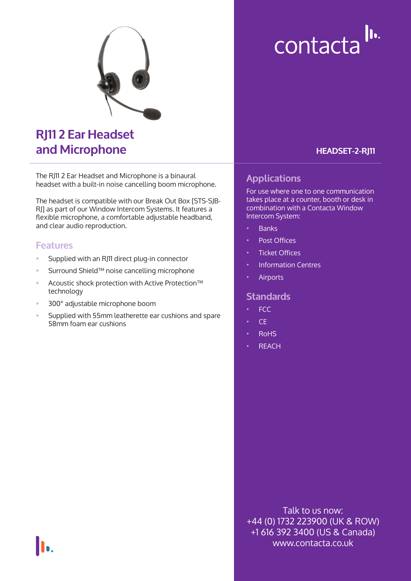

# **RJ11 2 Ear Headset and Microphone**

The RJ11 2 Ear Headset and Microphone is a binaural headset with a built-in noise cancelling boom microphone.

The headset is compatible with our Break Out Box [STS-SJB-RJ] as part of our Window Intercom Systems. It features a flexible microphone, a comfortable adjustable headband, and clear audio reproduction.

### **Features**

- Supplied with an RJ11 direct plug-in connector
- Surround Shield™ noise cancelling microphone
- Acoustic shock protection with Active Protection™ technology
- 300° adjustable microphone boom
- Supplied with 55mm leatherette ear cushions and spare 58mm foam ear cushions

# contacta<sup>lu.</sup>

#### **HEADSET-2-RJ11**

## **Applications**

For use where one to one communication takes place at a counter, booth or desk in combination with a Contacta Window Intercom System:

- Banks
- Post Offices
- **Ticket Offices**
- Information Centres
- **Airports**

#### **Standards**

- FCC
- CE
- RoHS
- **REACH**

Talk to us now: +44 (0) 1732 223900 (UK & ROW) +1 616 392 3400 (US & Canada) www.contacta.co.uk